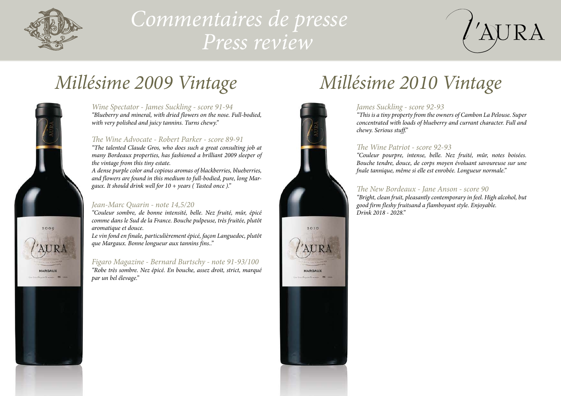

# *Commentaires de presse Press review*





#### *Wine Spectator - James Suckling - score 91-94*

*"Blueberry and mineral, with dried flowers on the nose. Full-bodied, with very polished and juicy tannins. Turns chewy."*

#### *The Wine Advocate - Robert Parker - score 89-91*

*"The talented Claude Gros, who does such a great consulting job at many Bordeaux properties, has fashioned a brilliant 2009 sleeper of the vintage from this tiny estate.*

*A dense purple color and copious aromas of blackberries, blueberries, and flowers are found in this medium to full-bodied, pure, long Margaux. It should drink well for 10 + years ( Tasted once )."*

### *Jean-Marc Quarin - note 14,5/20*

*"Couleur sombre, de bonne intensité, belle. Nez fruité, mûr, épicé comme dans le Sud de la France. Bouche pulpeuse, très fruitée, plutôt aromatique et douce.*

*Le vin fond en finale, particulièrement épicé, façon Languedoc, plutôt que Margaux. Bonne longueur aux tannins fins.."*

*Figaro Magazine - Bernard Burtschy - note 91-93/100 "Robe très sombre. Nez épicé. En bouche, assez droit, strict, marqué par un bel élevage."*



#### *James Suckling - score 92-93*

*"This is a tiny property from the owners of Cambon La Pelouse. Super concentrated with loads of blueberry and currant character. Full and chewy. Serious stuff."*

#### *The Wine Patriot - score 92-93*

*"Couleur pourpre, intense, belle. Nez fruité, mûr, notes boisées. Bouche tendre, douce, de corps moyen évoluant savoureuse sur une fnale tannique, même si elle est enrobée. Longueur normale."*

#### *The New Bordeaux - Jane Anson - score 90*

*"Bright, clean fruit, pleasantly contemporary in feel. High alcohol, but good firm fleshy fruitsand a flamboyant style. Enjoyable. Drink 2018 - 2028."*

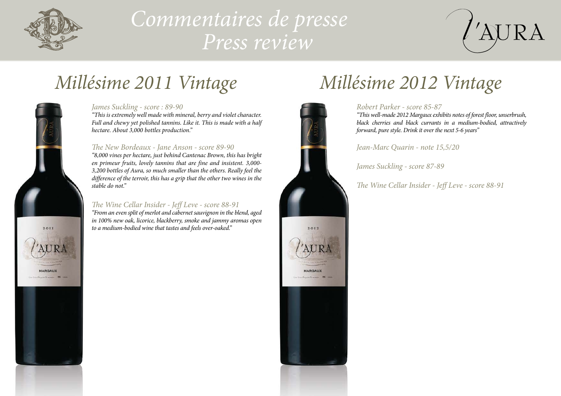

# *Commentaires de presse Press review*



### *James Suckling - score : 89-90*

*"This is extremely well made with mineral, berry and violet character. Full and chewy yet polished tannins. Like it. This is made with a half hectare. About 3,000 bottles production."*

### *The New Bordeaux - Jane Anson - score 89-90*

*"8,000 vines per hectare, just behind Cantenac Brown, this has bright en primeur fruits, lovely tannins that are fine and insistent. 3,000- 3,200 bottles of Aura, so much smaller than the others. Really feel the difference of the terroir, this has a grip that the other two wines in the stable do not."*

# *The Wine Cellar Insider - Jeff Leve - score 88-91*

*"From an even split of merlot and cabernet sauvignon in the blend, aged in 100% new oak, licorice, blackberry, smoke and jammy aromas open to a medium-bodied wine that tastes and feels over-oaked."*



# *Millésime 2011 Vintage Millésime 2012 Vintage*

## *Robert Parker - score 85-87*

*"This well-made 2012 Margaux exhibits notes of forest floor, unserbrush, black cherries and black currants in a medium-bodied, attractively forward, pure style. Drink it over the next 5-6 years"*

*Jean-Marc Quarin - note 15,5/20*

*James Suckling - score 87-89*

*The Wine Cellar Insider - Jeff Leve - score 88-91*

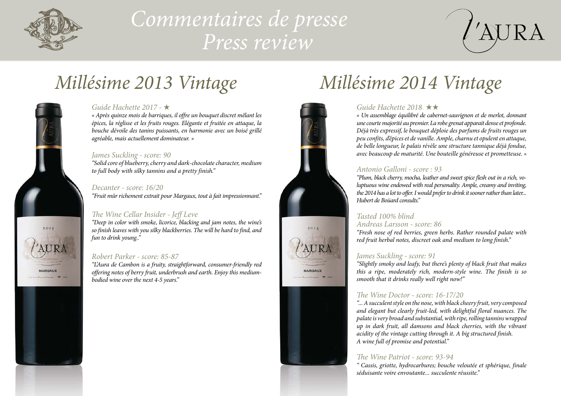

 $2013$ 

**ARGAUX** 

# *Commentaires de presse Press review*



# *Millésime 2013 Vintage*

### *Guide Hachette 2017 -* H

*« Après quinze mois de barriques, il offre un bouquet discret mêlant les épices, la réglisse et les fruits rouges. Elégante et fruitée en attaque, la bouche dévoile des tanins puissants, en harmonie avec un boisé grillé agréable, mais actuellement dominateur. »*

#### *James Suckling - score: 90*

*"Solid core of blueberry, cherry and dark-chocolate character, medium to full body with silky tannins and a pretty finish."*

#### *Decanter - score: 16/20*

*"Fruit mûr richement extrait pour Margaux, tout à fait impressionnant."*

## *The Wine Cellar Insider - Jeff Leve*

*"Deep in color with smoke, licorice, blacking and jam notes, the wine's so finish leaves with you silky blackberries. The will be hard to find, and fun to drink young.."*

### *Robert Parker - score: 85-87*

*"L'Aura de Cambon is a fruity, straightforward, consumer-friendly red offering notes of berry fruit, underbrush and earth. Enjoy this mediumbodied wine over the next 4-5 years."*



# *Millésime 2014 Vintage*

### *Guide Hachette 2018*  $\star\star$

*« Un assemblage équilibré de cabernet-sauvignon et de merlot, donnant une courte majorité au premier. La robe grenat apparait dense et profonde. Déjà très expressif, le bouquet déploie des parfums de fruits rouges un peu confits, d'épices et de vanille. Ample, charnu et opulent en attaque, de belle longueur, le palais révèle une structure tannique déjà fondue, avec beaucoup de maturité. Une bouteille généreuse et prometteuse. »*

### *Antonio Galloni - score : 93*

*"Plum, black cherry, mocha, leather and sweet spice flesh out in a rich, voluptuous wine endowed with real personality. Ample, creamy and inviting, the 2014 has a lot to offer. I would prefer to drink it sooner rather than later... Hubert de Boüard consults."* 

#### *Tasted 100% blind Andreas Larsson - score: 86*

*"Fresh nose of red berries, green herbs. Rather rounded palate with red fruit herbal notes, discreet oak and medium to long finish."*

### *James Suckling - score: 91*

*"Slightly smoky and leafy, but there's plenty of black fruit that makes this a ripe, moderately rich, modern-style wine. The finish is so smooth that it drinks really well right now!"*

## *The Wine Doctor - score: 16-17/20*

*"... A succulent style on the nose, with black cheery fruit, very composed and elegant but clearly fruit-led, with delightful floral nuances. The palate is very broad and substantial, with ripe, rolling tannins wrapped up in dark fruit, all damsons and black cherries, with the vibrant acidity of the vintage cutting through it. A big structured finish. A wine full of promise and potential."*

### *The Wine Patriot - score: 93-94*

*" Cassis, griotte, hydrocarbures; bouche veloutée et sphérique, finale séduisante voire envoutante... succulente réussite."*